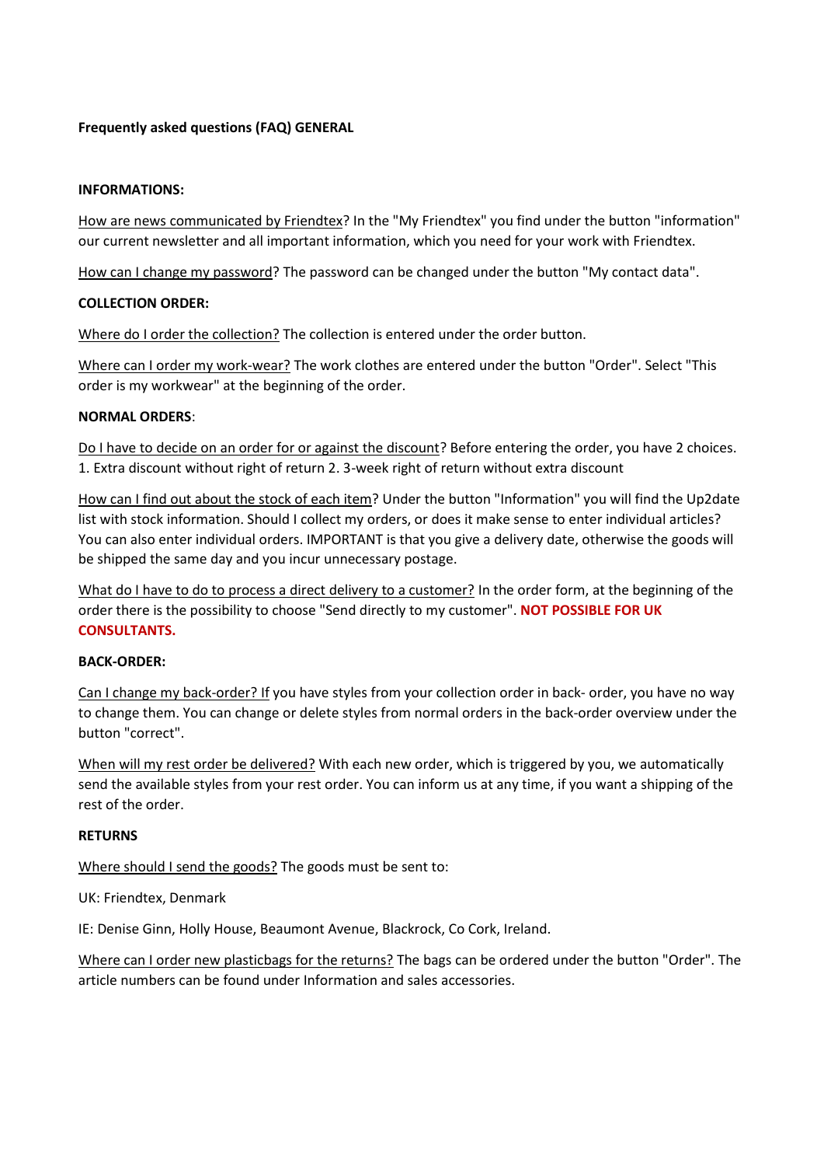## **Frequently asked questions (FAQ) GENERAL**

#### **INFORMATIONS:**

How are news communicated by Friendtex? In the "My Friendtex" you find under the button "information" our current newsletter and all important information, which you need for your work with Friendtex.

How can I change my password? The password can be changed under the button "My contact data".

### **COLLECTION ORDER:**

Where do I order the collection? The collection is entered under the order button.

Where can I order my work-wear? The work clothes are entered under the button "Order". Select "This order is my workwear" at the beginning of the order.

### **NORMAL ORDERS**:

Do I have to decide on an order for or against the discount? Before entering the order, you have 2 choices. 1. Extra discount without right of return 2. 3-week right of return without extra discount

How can I find out about the stock of each item? Under the button "Information" you will find the Up2date list with stock information. Should I collect my orders, or does it make sense to enter individual articles? You can also enter individual orders. IMPORTANT is that you give a delivery date, otherwise the goods will be shipped the same day and you incur unnecessary postage.

What do I have to do to process a direct delivery to a customer? In the order form, at the beginning of the order there is the possibility to choose "Send directly to my customer". **NOT POSSIBLE FOR UK CONSULTANTS.**

## **BACK-ORDER:**

Can I change my back-order? If you have styles from your collection order in back- order, you have no way to change them. You can change or delete styles from normal orders in the back-order overview under the button "correct".

When will my rest order be delivered? With each new order, which is triggered by you, we automatically send the available styles from your rest order. You can inform us at any time, if you want a shipping of the rest of the order.

### **RETURNS**

Where should I send the goods? The goods must be sent to:

UK: Friendtex, Denmark

IE: Denise Ginn, Holly House, Beaumont Avenue, Blackrock, Co Cork, Ireland.

Where can I order new plasticbags for the returns? The bags can be ordered under the button "Order". The article numbers can be found under Information and sales accessories.